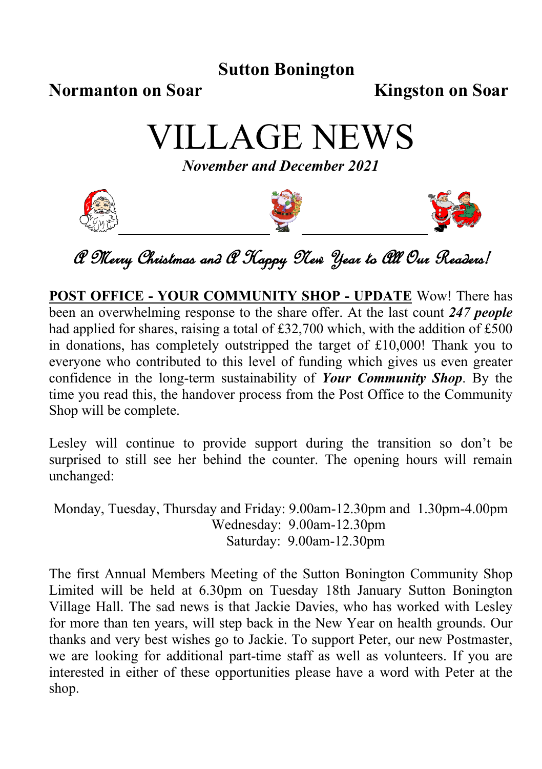### **Sutton Bonington**

#### **Normanton on Soar Kingston on Soar**

VILLAGE NEWS

*November and December 2021*







A Merry Christmas and A Happy New Year to All Our Readers!

**POST OFFICE - YOUR COMMUNITY SHOP - UPDATE** Wow! There has been an overwhelming response to the share offer. At the last count *247 people* had applied for shares, raising a total of £32,700 which, with the addition of £500 in donations, has completely outstripped the target of £10,000! Thank you to everyone who contributed to this level of funding which gives us even greater confidence in the long-term sustainability of *Your Community Shop*. By the time you read this, the handover process from the Post Office to the Community Shop will be complete.

Lesley will continue to provide support during the transition so don't be surprised to still see her behind the counter. The opening hours will remain unchanged:

Monday, Tuesday, Thursday and Friday: 9.00am-12.30pm and 1.30pm-4.00pm Wednesday: 9.00am-12.30pm Saturday: 9.00am-12.30pm

The first Annual Members Meeting of the Sutton Bonington Community Shop Limited will be held at 6.30pm on Tuesday 18th January Sutton Bonington Village Hall. The sad news is that Jackie Davies, who has worked with Lesley for more than ten years, will step back in the New Year on health grounds. Our thanks and very best wishes go to Jackie. To support Peter, our new Postmaster, we are looking for additional part-time staff as well as volunteers. If you are interested in either of these opportunities please have a word with Peter at the shop.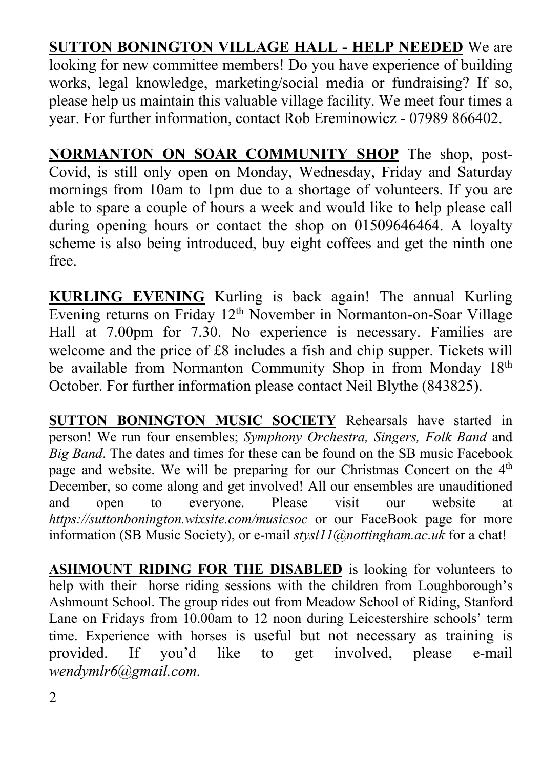**SUTTON BONINGTON VILLAGE HALL - HELP NEEDED** We are looking for new committee members! Do you have experience of building works, legal knowledge, marketing/social media or fundraising? If so, please help us maintain this valuable village facility. We meet four times a year. For further information, contact Rob Ereminowicz - 07989 866402.

**NORMANTON ON SOAR COMMUNITY SHOP** The shop, post-Covid, is still only open on Monday, Wednesday, Friday and Saturday mornings from 10am to 1pm due to a shortage of volunteers. If you are able to spare a couple of hours a week and would like to help please call during opening hours or contact the shop on 01509646464. A loyalty scheme is also being introduced, buy eight coffees and get the ninth one free.

**KURLING EVENING** Kurling is back again! The annual Kurling Evening returns on Friday 12th November in Normanton-on-Soar Village Hall at 7.00pm for 7.30. No experience is necessary. Families are welcome and the price of £8 includes a fish and chip supper. Tickets will be available from Normanton Community Shop in from Monday 18<sup>th</sup> October. For further information please contact Neil Blythe (843825).

**SUTTON BONINGTON MUSIC SOCIETY** Rehearsals have started in person! We run four ensembles; *Symphony Orchestra, Singers, Folk Band* and *Big Band*. The dates and times for these can be found on the SB music Facebook page and website. We will be preparing for our Christmas Concert on the  $4<sup>th</sup>$ December, so come along and get involved! All our ensembles are unauditioned and open to everyone. Please visit our website at *https://suttonbonington.wixsite.com/musicsoc* or our FaceBook page for more information (SB Music Society), or e-mail *stysl11@nottingham.ac.uk* for a chat!

**ASHMOUNT RIDING FOR THE DISABLED** is looking for volunteers to help with their horse riding sessions with the children from Loughborough's Ashmount School. The group rides out from Meadow School of Riding, Stanford Lane on Fridays from 10.00am to 12 noon during Leicestershire schools' term time. Experience with horses is useful but not necessary as training is provided. If you'd like to get involved, please e-mail *wendymlr6@gmail.com.*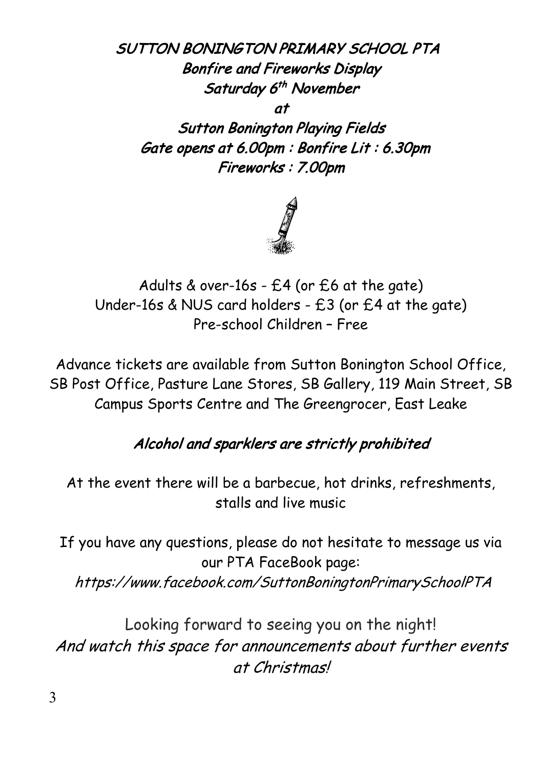SUTTON BONINGTON PRIMARY SCHOOL PTA Bonfire and Fireworks Display Saturday 6<sup>th</sup> November at

Sutton Bonington Playing Fields Gate opens at 6.00pm : Bonfire Lit : 6.30pm Fireworks : 7.00pm



Adults & over-16s - £4 (or £6 at the gate) Under-16s & NUS card holders - £3 (or £4 at the gate) Pre-school Children – Free

Advance tickets are available from Sutton Bonington School Office, SB Post Office, Pasture Lane Stores, SB Gallery, 119 Main Street, SB Campus Sports Centre and The Greengrocer, East Leake

## Alcohol and sparklers are strictly prohibited

At the event there will be a barbecue, hot drinks, refreshments, stalls and live music

If you have any questions, please do not hesitate to message us via our PTA FaceBook page: https://www.facebook.com/SuttonBoningtonPrimarySchoolPTA

Looking forward to seeing you on the night! And watch this space for announcements about further events at Christmas!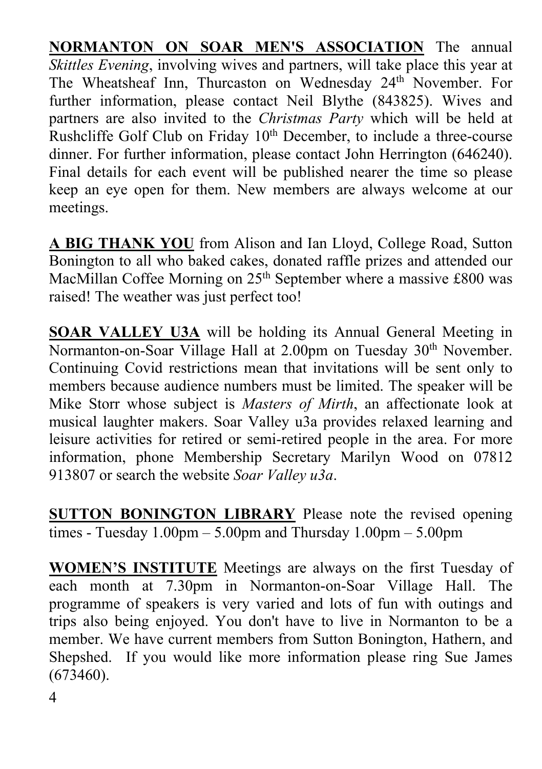**NORMANTON ON SOAR MEN'S ASSOCIATION** The annual *Skittles Evening*, involving wives and partners, will take place this year at The Wheatsheaf Inn, Thurcaston on Wednesday 24<sup>th</sup> November. For further information, please contact Neil Blythe (843825). Wives and partners are also invited to the *Christmas Party* which will be held at Rushcliffe Golf Club on Friday 10<sup>th</sup> December, to include a three-course dinner. For further information, please contact John Herrington (646240). Final details for each event will be published nearer the time so please keep an eye open for them. New members are always welcome at our meetings.

**A BIG THANK YOU** from Alison and Ian Lloyd, College Road, Sutton Bonington to all who baked cakes, donated raffle prizes and attended our MacMillan Coffee Morning on 25<sup>th</sup> September where a massive £800 was raised! The weather was just perfect too!

**SOAR VALLEY U3A** will be holding its Annual General Meeting in Normanton-on-Soar Village Hall at 2.00pm on Tuesday 30<sup>th</sup> November. Continuing Covid restrictions mean that invitations will be sent only to members because audience numbers must be limited. The speaker will be Mike Storr whose subject is *Masters of Mirth*, an affectionate look at musical laughter makers. Soar Valley u3a provides relaxed learning and leisure activities for retired or semi-retired people in the area. For more information, phone Membership Secretary Marilyn Wood on 07812 913807 or search the website *Soar Valley u3a*.

**SUTTON BONINGTON LIBRARY** Please note the revised opening times - Tuesday  $1.00 \text{pm} - 5.00 \text{pm}$  and Thursday  $1.00 \text{pm} - 5.00 \text{pm}$ 

**WOMEN'S INSTITUTE** Meetings are always on the first Tuesday of each month at 7.30pm in Normanton-on-Soar Village Hall. The programme of speakers is very varied and lots of fun with outings and trips also being enjoyed. You don't have to live in Normanton to be a member. We have current members from Sutton Bonington, Hathern, and Shepshed. If you would like more information please ring Sue James (673460).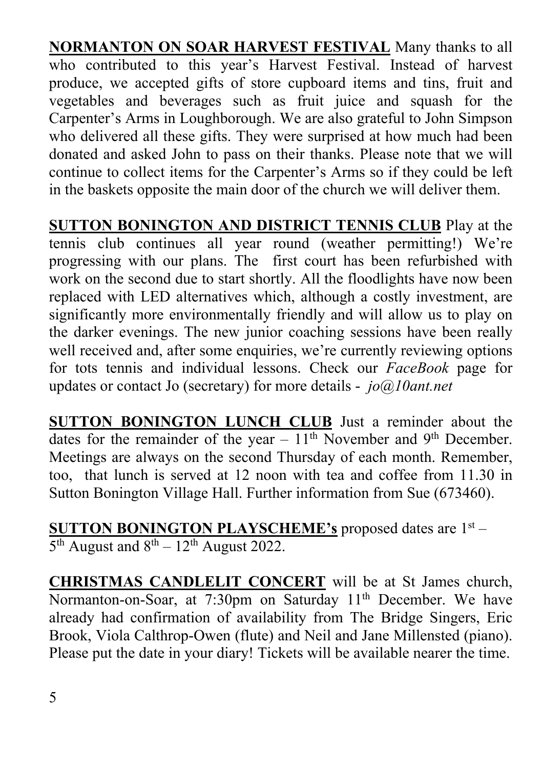**NORMANTON ON SOAR HARVEST FESTIVAL** Many thanks to all who contributed to this year's Harvest Festival. Instead of harvest produce, we accepted gifts of store cupboard items and tins, fruit and vegetables and beverages such as fruit juice and squash for the Carpenter's Arms in Loughborough. We are also grateful to John Simpson who delivered all these gifts. They were surprised at how much had been donated and asked John to pass on their thanks. Please note that we will continue to collect items for the Carpenter's Arms so if they could be left in the baskets opposite the main door of the church we will deliver them.

**SUTTON BONINGTON AND DISTRICT TENNIS CLUB** Play at the tennis club continues all year round (weather permitting!) We're progressing with our plans. The first court has been refurbished with work on the second due to start shortly. All the floodlights have now been replaced with LED alternatives which, although a costly investment, are significantly more environmentally friendly and will allow us to play on the darker evenings. The new junior coaching sessions have been really well received and, after some enquiries, we're currently reviewing options for tots tennis and individual lessons. Check our *FaceBook* page for updates or contact Jo (secretary) for more details - *jo@10ant.net*

**SUTTON BONINGTON LUNCH CLUB** Just a reminder about the dates for the remainder of the year  $-11<sup>th</sup>$  November and 9<sup>th</sup> December. Meetings are always on the second Thursday of each month. Remember, too, that lunch is served at 12 noon with tea and coffee from 11.30 in Sutton Bonington Village Hall. Further information from Sue (673460).

**SUTTON BONINGTON PLAYSCHEME's** proposed dates are 1st –  $5<sup>th</sup>$  August and  $8<sup>th</sup> - 12<sup>th</sup>$  August 2022.

**CHRISTMAS CANDLELIT CONCERT** will be at St James church, Normanton-on-Soar, at 7:30pm on Saturday 11<sup>th</sup> December. We have already had confirmation of availability from The Bridge Singers, Eric Brook, Viola Calthrop-Owen (flute) and Neil and Jane Millensted (piano). Please put the date in your diary! Tickets will be available nearer the time.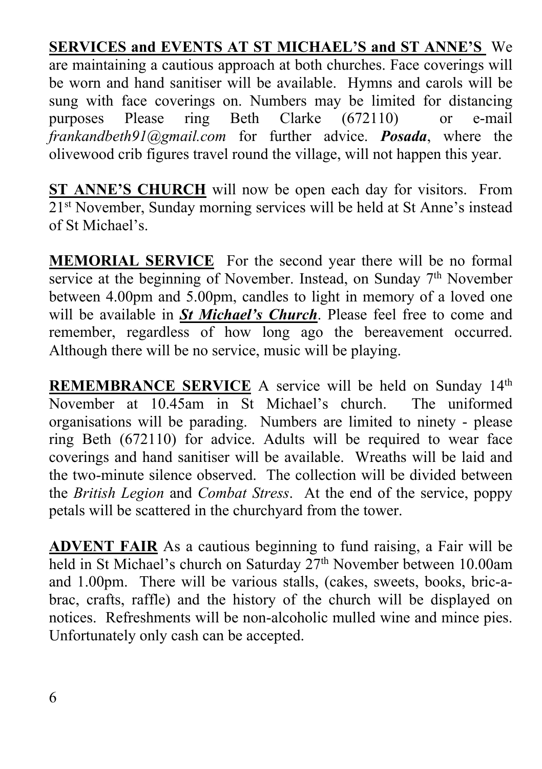**SERVICES and EVENTS AT ST MICHAEL'S and ST ANNE'S** We are maintaining a cautious approach at both churches. Face coverings will be worn and hand sanitiser will be available. Hymns and carols will be sung with face coverings on. Numbers may be limited for distancing purposes Please ring Beth Clarke (672110) or e-mail *frankandbeth91@gmail.com* for further advice. *Posada*, where the olivewood crib figures travel round the village, will not happen this year.

**ST ANNE'S CHURCH** will now be open each day for visitors. From 21st November, Sunday morning services will be held at St Anne's instead of St Michael's.

**MEMORIAL SERVICE** For the second year there will be no formal service at the beginning of November. Instead, on Sunday 7<sup>th</sup> November between 4.00pm and 5.00pm, candles to light in memory of a loved one will be available in *St Michael's Church*. Please feel free to come and remember, regardless of how long ago the bereavement occurred. Although there will be no service, music will be playing.

**REMEMBRANCE SERVICE** A service will be held on Sunday 14<sup>th</sup> November at 10.45am in St Michael's church. The uniformed organisations will be parading. Numbers are limited to ninety - please ring Beth (672110) for advice. Adults will be required to wear face coverings and hand sanitiser will be available. Wreaths will be laid and the two-minute silence observed. The collection will be divided between the *British Legion* and *Combat Stress*. At the end of the service, poppy petals will be scattered in the churchyard from the tower.

**ADVENT FAIR** As a cautious beginning to fund raising, a Fair will be held in St Michael's church on Saturday 27<sup>th</sup> November between 10.00am and 1.00pm. There will be various stalls, (cakes, sweets, books, bric-abrac, crafts, raffle) and the history of the church will be displayed on notices. Refreshments will be non-alcoholic mulled wine and mince pies. Unfortunately only cash can be accepted.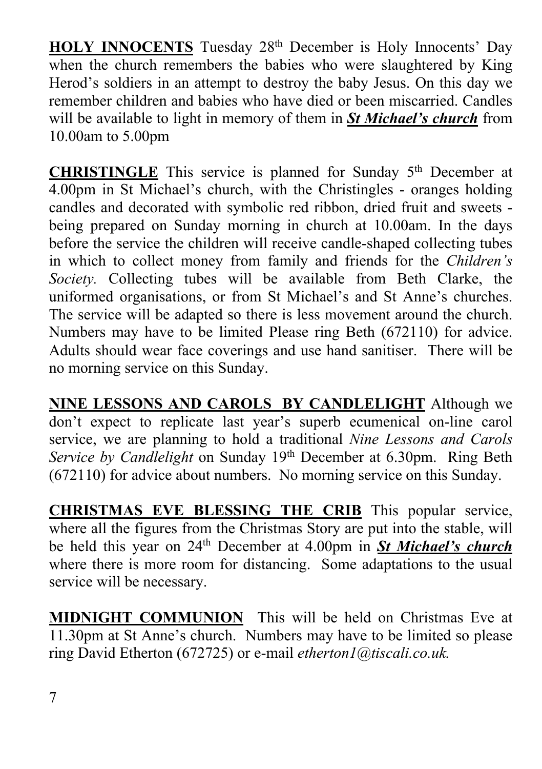HOLY INNOCENTS Tuesday 28<sup>th</sup> December is Holy Innocents' Day when the church remembers the babies who were slaughtered by King Herod's soldiers in an attempt to destroy the baby Jesus. On this day we remember children and babies who have died or been miscarried. Candles will be available to light in memory of them in *St Michael's church* from 10.00am to 5.00pm

**CHRISTINGLE** This service is planned for Sunday 5th December at 4.00pm in St Michael's church, with the Christingles - oranges holding candles and decorated with symbolic red ribbon, dried fruit and sweets being prepared on Sunday morning in church at 10.00am. In the days before the service the children will receive candle-shaped collecting tubes in which to collect money from family and friends for the *Children's Society.* Collecting tubes will be available from Beth Clarke, the uniformed organisations, or from St Michael's and St Anne's churches. The service will be adapted so there is less movement around the church. Numbers may have to be limited Please ring Beth (672110) for advice. Adults should wear face coverings and use hand sanitiser. There will be no morning service on this Sunday.

**NINE LESSONS AND CAROLS BY CANDLELIGHT** Although we don't expect to replicate last year's superb ecumenical on-line carol service, we are planning to hold a traditional *Nine Lessons and Carols Service by Candlelight* on Sunday 19<sup>th</sup> December at 6.30pm. Ring Beth (672110) for advice about numbers. No morning service on this Sunday.

**CHRISTMAS EVE BLESSING THE CRIB** This popular service, where all the figures from the Christmas Story are put into the stable, will be held this year on 24th December at 4.00pm in *St Michael's church* where there is more room for distancing. Some adaptations to the usual service will be necessary.

**MIDNIGHT COMMUNION** This will be held on Christmas Eve at 11.30pm at St Anne's church. Numbers may have to be limited so please ring David Etherton (672725) or e-mail *etherton1@tiscali.co.uk.*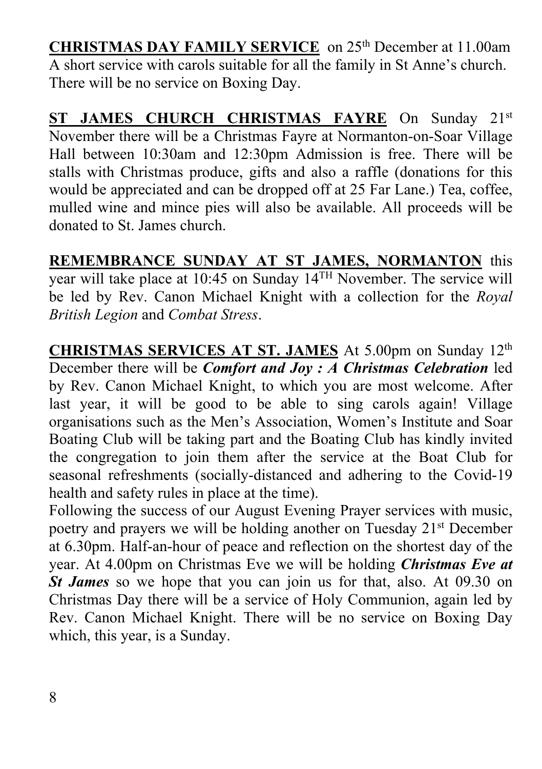**CHRISTMAS DAY FAMILY SERVICE** on 25th December at 11.00am A short service with carols suitable for all the family in St Anne's church. There will be no service on Boxing Day.

ST JAMES CHURCH CHRISTMAS FAYRE On Sunday 21st November there will be a Christmas Fayre at Normanton-on-Soar Village Hall between 10:30am and 12:30pm Admission is free. There will be stalls with Christmas produce, gifts and also a raffle (donations for this would be appreciated and can be dropped off at 25 Far Lane.) Tea, coffee, mulled wine and mince pies will also be available. All proceeds will be donated to St. James church.

**REMEMBRANCE SUNDAY AT ST JAMES, NORMANTON** this year will take place at 10:45 on Sunday 14TH November. The service will be led by Rev. Canon Michael Knight with a collection for the *Royal British Legion* and *Combat Stress*.

**CHRISTMAS SERVICES AT ST. JAMES** At 5.00pm on Sunday 12th December there will be *Comfort and Joy : A Christmas Celebration* led by Rev. Canon Michael Knight, to which you are most welcome. After last year, it will be good to be able to sing carols again! Village organisations such as the Men's Association, Women's Institute and Soar Boating Club will be taking part and the Boating Club has kindly invited the congregation to join them after the service at the Boat Club for seasonal refreshments (socially-distanced and adhering to the Covid-19 health and safety rules in place at the time).

Following the success of our August Evening Prayer services with music, poetry and prayers we will be holding another on Tuesday 21st December at 6.30pm. Half-an-hour of peace and reflection on the shortest day of the year. At 4.00pm on Christmas Eve we will be holding *Christmas Eve at St James* so we hope that you can join us for that, also. At 09.30 on Christmas Day there will be a service of Holy Communion, again led by Rev. Canon Michael Knight. There will be no service on Boxing Day which, this year, is a Sunday.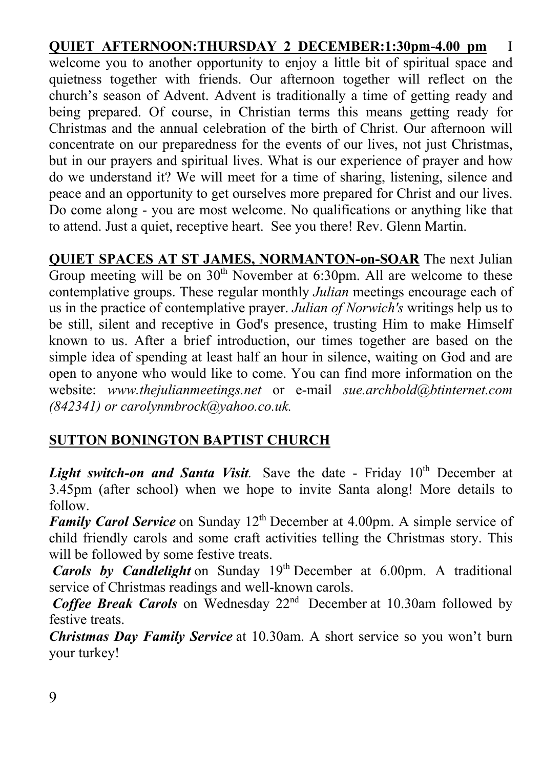#### **QUIET AFTERNOON:THURSDAY 2 DECEMBER:1:30pm-4.00 pm** I

welcome you to another opportunity to enjoy a little bit of spiritual space and quietness together with friends. Our afternoon together will reflect on the church's season of Advent. Advent is traditionally a time of getting ready and being prepared. Of course, in Christian terms this means getting ready for Christmas and the annual celebration of the birth of Christ. Our afternoon will concentrate on our preparedness for the events of our lives, not just Christmas, but in our prayers and spiritual lives. What is our experience of prayer and how do we understand it? We will meet for a time of sharing, listening, silence and peace and an opportunity to get ourselves more prepared for Christ and our lives. Do come along - you are most welcome. No qualifications or anything like that to attend. Just a quiet, receptive heart. See you there! Rev. Glenn Martin.

**QUIET SPACES AT ST JAMES, NORMANTON-on-SOAR** The next Julian Group meeting will be on  $30<sup>th</sup>$  November at 6:30pm. All are welcome to these contemplative groups. These regular monthly *Julian* meetings encourage each of us in the practice of contemplative prayer. *Julian of Norwich's* writings help us to be still, silent and receptive in God's presence, trusting Him to make Himself known to us. After a brief introduction, our times together are based on the simple idea of spending at least half an hour in silence, waiting on God and are open to anyone who would like to come. You can find more information on the website: *www.thejulianmeetings.net* or e-mail *sue.archbold@btinternet.com (842341) or carolynmbrock@yahoo.co.uk.*

#### **SUTTON BONINGTON BAPTIST CHURCH**

*Light switch-on and Santa Visit.* Save the date - Friday 10<sup>th</sup> December at 3.45pm (after school) when we hope to invite Santa along! More details to follow.

*Family Carol Service* on Sunday 12<sup>th</sup> December at 4.00pm. A simple service of child friendly carols and some craft activities telling the Christmas story. This will be followed by some festive treats.

*Carols by Candlelight* on Sunday 19th December at 6.00pm. A traditional service of Christmas readings and well-known carols.

*Coffee Break Carols* on Wednesday 22<sup>nd</sup> December at 10.30am followed by festive treats.

*Christmas Day Family Service* at 10.30am. A short service so you won't burn your turkey!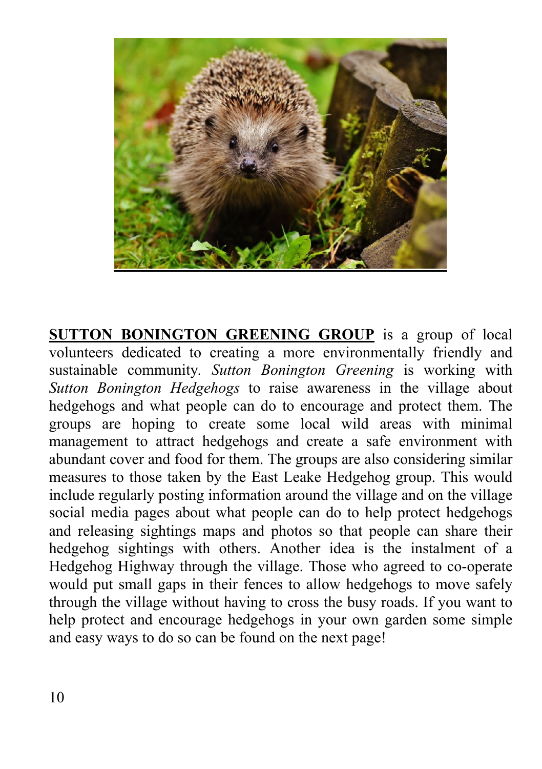

**SUTTON BONINGTON GREENING GROUP** is a group of local volunteers dedicated to creating a more environmentally friendly and sustainable community*. Sutton Bonington Greening* is working with *Sutton Bonington Hedgehogs* to raise awareness in the village about hedgehogs and what people can do to encourage and protect them. The groups are hoping to create some local wild areas with minimal management to attract hedgehogs and create a safe environment with abundant cover and food for them. The groups are also considering similar measures to those taken by the East Leake Hedgehog group. This would include regularly posting information around the village and on the village social media pages about what people can do to help protect hedgehogs and releasing sightings maps and photos so that people can share their hedgehog sightings with others. Another idea is the instalment of a Hedgehog Highway through the village. Those who agreed to co-operate would put small gaps in their fences to allow hedgehogs to move safely through the village without having to cross the busy roads. If you want to help protect and encourage hedgehogs in your own garden some simple and easy ways to do so can be found on the next page!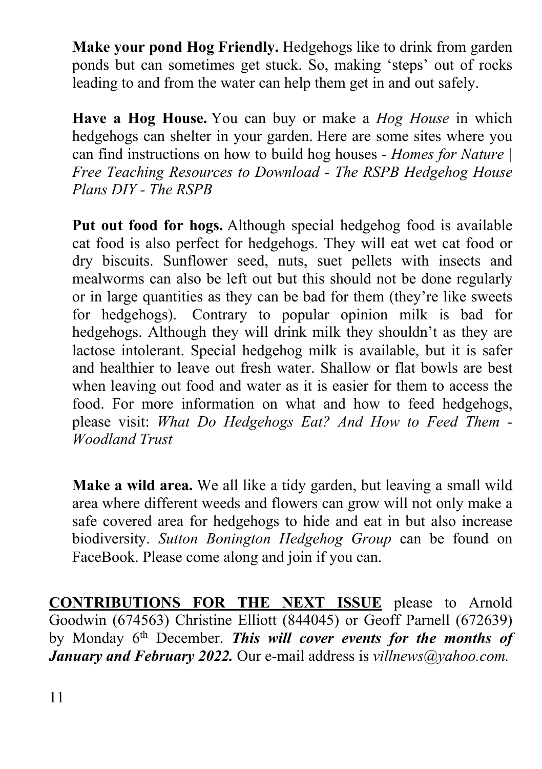**Make your pond Hog Friendly.** Hedgehogs like to drink from garden ponds but can sometimes get stuck. So, making 'steps' out of rocks leading to and from the water can help them get in and out safely.

**Have a Hog House.** You can buy or make a *Hog House* in which hedgehogs can shelter in your garden. Here are some sites where you can find instructions on how to build hog houses - *Homes for Nature | Free Teaching Resources to Download - The RSPB Hedgehog House Plans DIY - The RSPB*

**Put out food for hogs.** Although special hedgehog food is available cat food is also perfect for hedgehogs. They will eat wet cat food or dry biscuits. Sunflower seed, nuts, suet pellets with insects and mealworms can also be left out but this should not be done regularly or in large quantities as they can be bad for them (they're like sweets for hedgehogs). Contrary to popular opinion milk is bad for hedgehogs. Although they will drink milk they shouldn't as they are lactose intolerant. Special hedgehog milk is available, but it is safer and healthier to leave out fresh water. Shallow or flat bowls are best when leaving out food and water as it is easier for them to access the food. For more information on what and how to feed hedgehogs, please visit: *What Do Hedgehogs Eat? And How to Feed Them - Woodland Trust*

**Make a wild area.** We all like a tidy garden, but leaving a small wild area where different weeds and flowers can grow will not only make a safe covered area for hedgehogs to hide and eat in but also increase biodiversity. *Sutton Bonington Hedgehog Group* can be found on FaceBook. Please come along and join if you can.

**CONTRIBUTIONS FOR THE NEXT ISSUE** please to Arnold Goodwin (674563) Christine Elliott (844045) or Geoff Parnell (672639) by Monday 6th December. *This will cover events for the months of January and February 2022.* Our e-mail address is *villnews@yahoo.com.*